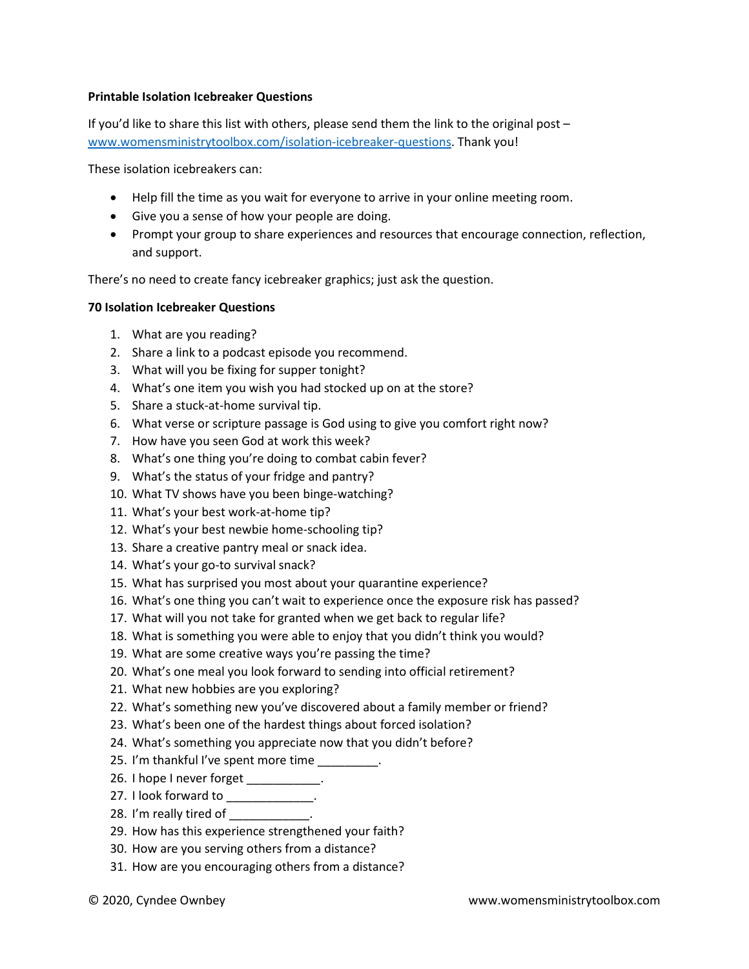## **Printable Isolation Icebreaker Questions**

If you'd like to share this list with others, please send them the link to the original post – [www.womensministrytoolbox.com/isolation-icebreaker-questions.](http://www.womensministrytoolbox.com/isolation-icebreaker-questions) Thank you!

These isolation icebreakers can:

- Help fill the time as you wait for everyone to arrive in your online meeting room.
- Give you a sense of how your people are doing.
- Prompt your group to share experiences and resources that encourage connection, reflection, and support.

There's no need to create fancy icebreaker graphics; just ask the question.

## **70 Isolation Icebreaker Questions**

- 1. What are you reading?
- 2. Share a link to a podcast episode you recommend.
- 3. What will you be fixing for supper tonight?
- 4. What's one item you wish you had stocked up on at the store?
- 5. Share a stuck-at-home survival tip.
- 6. What verse or scripture passage is God using to give you comfort right now?
- 7. How have you seen God at work this week?
- 8. What's one thing you're doing to combat cabin fever?
- 9. What's the status of your fridge and pantry?
- 10. What TV shows have you been binge-watching?
- 11. What's your best work-at-home tip?
- 12. What's your best newbie home-schooling tip?
- 13. Share a creative pantry meal or snack idea.
- 14. What's your go-to survival snack?
- 15. What has surprised you most about your quarantine experience?
- 16. What's one thing you can't wait to experience once the exposure risk has passed?
- 17. What will you not take for granted when we get back to regular life?
- 18. What is something you were able to enjoy that you didn't think you would?
- 19. What are some creative ways you're passing the time?
- 20. What's one meal you look forward to sending into official retirement?
- 21. What new hobbies are you exploring?
- 22. What's something new you've discovered about a family member or friend?
- 23. What's been one of the hardest things about forced isolation?
- 24. What's something you appreciate now that you didn't before?
- 25. I'm thankful I've spent more time
- 26. I hope I never forget \_\_\_\_\_\_\_\_\_\_\_.
- 27. I look forward to \_\_\_\_\_\_\_\_\_\_\_\_\_.
- 28. I'm really tired of the control of
- 29. How has this experience strengthened your faith?
- 30. How are you serving others from a distance?
- 31. How are you encouraging others from a distance?